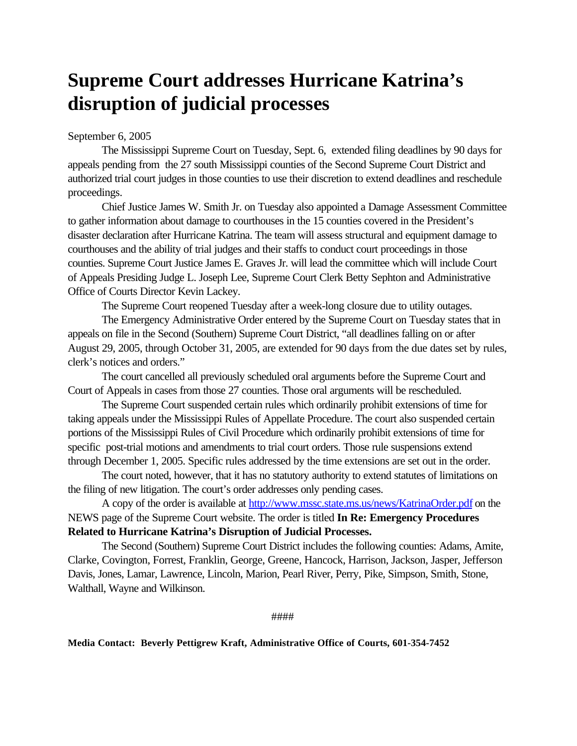# **Supreme Court addresses Hurricane Katrina's disruption of judicial processes**

September 6, 2005

The Mississippi Supreme Court on Tuesday, Sept. 6, extended filing deadlines by 90 days for appeals pending from the 27 south Mississippi counties of the Second Supreme Court District and authorized trial court judges in those counties to use their discretion to extend deadlines and reschedule proceedings.

Chief Justice James W. Smith Jr. on Tuesday also appointed a Damage Assessment Committee to gather information about damage to courthouses in the 15 counties covered in the President's disaster declaration after Hurricane Katrina. The team will assess structural and equipment damage to courthouses and the ability of trial judges and their staffs to conduct court proceedings in those counties. Supreme Court Justice James E. Graves Jr. will lead the committee which will include Court of Appeals Presiding Judge L. Joseph Lee, Supreme Court Clerk Betty Sephton and Administrative Office of Courts Director Kevin Lackey.

The Supreme Court reopened Tuesday after a week-long closure due to utility outages.

The Emergency Administrative Order entered by the Supreme Court on Tuesday states that in appeals on file in the Second (Southern) Supreme Court District, "all deadlines falling on or after August 29, 2005, through October 31, 2005, are extended for 90 days from the due dates set by rules, clerk's notices and orders."

The court cancelled all previously scheduled oral arguments before the Supreme Court and Court of Appeals in cases from those 27 counties. Those oral arguments will be rescheduled.

The Supreme Court suspended certain rules which ordinarily prohibit extensions of time for taking appeals under the Mississippi Rules of Appellate Procedure. The court also suspended certain portions of the Mississippi Rules of Civil Procedure which ordinarily prohibit extensions of time for specific post-trial motions and amendments to trial court orders. Those rule suspensions extend through December 1, 2005. Specific rules addressed by the time extensions are set out in the order.

The court noted, however, that it has no statutory authority to extend statutes of limitations on the filing of new litigation. The court's order addresses only pending cases.

A copy of the order is available at http://www.mssc.state.ms.us/news/KatrinaOrder.pdf on the NEWS page of the Supreme Court website. The order is titled **In Re: Emergency Procedures Related to Hurricane Katrina's Disruption of Judicial Processes.** 

The Second (Southern) Supreme Court District includes the following counties: Adams, Amite, Clarke, Covington, Forrest, Franklin, George, Greene, Hancock, Harrison, Jackson, Jasper, Jefferson Davis, Jones, Lamar, Lawrence, Lincoln, Marion, Pearl River, Perry, Pike, Simpson, Smith, Stone, Walthall, Wayne and Wilkinson.

####

### **Media Contact: Beverly Pettigrew Kraft, Administrative Office of Courts, 601-354-7452**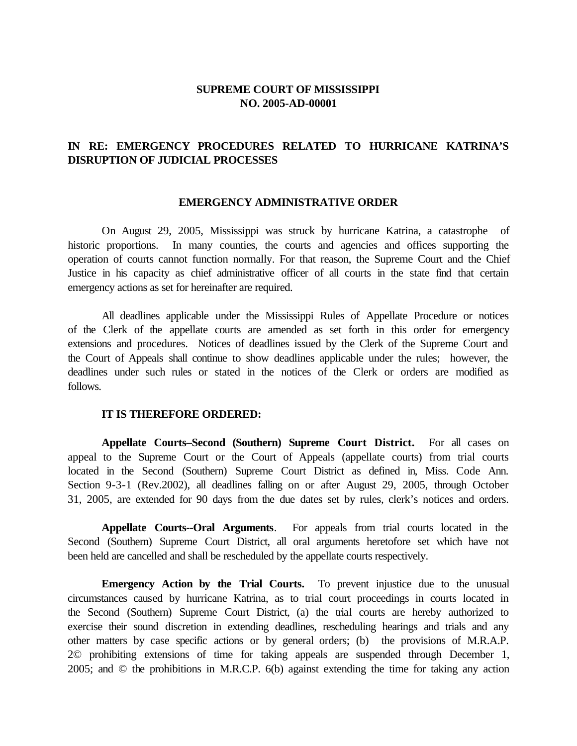## **SUPREME COURT OF MISSISSIPPI NO. 2005-AD-00001**

## **IN RE: EMERGENCY PROCEDURES RELATED TO HURRICANE KATRINA'S DISRUPTION OF JUDICIAL PROCESSES**

#### **EMERGENCY ADMINISTRATIVE ORDER**

 On August 29, 2005, Mississippi was struck by hurricane Katrina, a catastrophe of Justice in his capacity as chief administrative officer of all courts in the state find that certain historic proportions. In many counties, the courts and agencies and offices supporting the operation of courts cannot function normally. For that reason, the Supreme Court and the Chief emergency actions as set for hereinafter are required.

 All deadlines applicable under the Mississippi Rules of Appellate Procedure or notices of the Clerk of the appellate courts are amended as set forth in this order for emergency extensions and procedures. Notices of deadlines issued by the Clerk of the Supreme Court and the Court of Appeals shall continue to show deadlines applicable under the rules; however, the deadlines under such rules or stated in the notices of the Clerk or orders are modified as follows.

#### **IT IS THEREFORE ORDERED:**

 **Appellate Courts–Second (Southern) Supreme Court District.** For all cases on appeal to the Supreme Court or the Court of Appeals (appellate courts) from trial courts located in the Second (Southern) Supreme Court District as defined in, Miss. Code Ann. Section 9-3-1 (Rev.2002), all deadlines falling on or after August 29, 2005, through October 31, 2005, are extended for 90 days from the due dates set by rules, clerk's notices and orders.

 Second (Southern) Supreme Court District, all oral arguments heretofore set which have not **Appellate Courts--Oral Arguments**. For appeals from trial courts located in the been held are cancelled and shall be rescheduled by the appellate courts respectively.

**Emergency Action by the Trial Courts.** To prevent injustice due to the unusual the Second (Southern) Supreme Court District, (a) the trial courts are hereby authorized to exercise their sound discretion in extending deadlines, rescheduling hearings and trials and any other matters by case specific actions or by general orders; (b) the provisions of M.R.A.P. 2005; and © the prohibitions in M.R.C.P. 6(b) against extending the time for taking any action circumstances caused by hurricane Katrina, as to trial court proceedings in courts located in 2© prohibiting extensions of time for taking appeals are suspended through December 1,